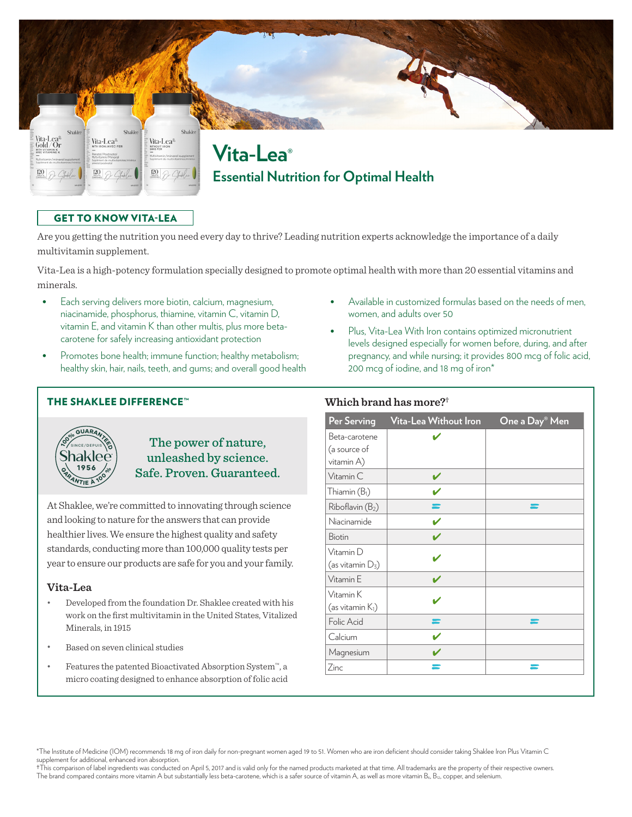

## GET TO KNOW VITA-LEA

Are you getting the nutrition you need every day to thrive? Leading nutrition experts acknowledge the importance of a daily multivitamin supplement.

Vita-Lea is a high-potency formulation specially designed to promote optimal health with more than 20 essential vitamins and minerals.

- **•** Each serving delivers more biotin, calcium, magnesium, niacinamide, phosphorus, thiamine, vitamin C, vitamin D, vitamin E, and vitamin K than other multis, plus more betacarotene for safely increasing antioxidant protection
- **•** Promotes bone health; immune function; healthy metabolism; healthy skin, hair, nails, teeth, and gums; and overall good health

### THE SHAKLEE DIFFERENCE™



The power of nature, unleashed by science. Safe. Proven. Guaranteed.

At Shaklee, we're committed to innovating through science and looking to nature for the answers that can provide healthier lives. We ensure the highest quality and safety standards, conducting more than 100,000 quality tests per year to ensure our products are safe for you and your family.

#### **Vita-Lea**

- Developed from the foundation Dr. Shaklee created with his work on the first multivitamin in the United States, Vitalized Minerals, in 1915
- Based on seven clinical studies
- Features the patented Bioactivated Absorption System™, a micro coating designed to enhance absorption of folic acid
- **•** Available in customized formulas based on the needs of men, women, and adults over 50
- **•** Plus, Vita-Lea With Iron contains optimized micronutrient levels designed especially for women before, during, and after pregnancy, and while nursing; it provides 800 mcg of folic acid, 200 mcg of iodine, and 18 mg of iron\*

### **Which brand has more?†**

| <b>Per Serving</b>                          | Vita-Lea Without Iron | One a Day® Men |
|---------------------------------------------|-----------------------|----------------|
| Beta-carotene<br>(a source of<br>vitamin A) |                       |                |
| Vitamin C                                   |                       |                |
| Thiamin $(B1)$                              |                       |                |
| Riboflavin (B <sub>2</sub> )                |                       |                |
| Niacinamide                                 |                       |                |
| <b>Biotin</b>                               |                       |                |
| Vitamin D<br>(as vitamin $D_3$ )            |                       |                |
| Vitamin E                                   |                       |                |
| Vitamin K<br>(as vitamin $K_1$ )            |                       |                |
| Folic Acid                                  |                       |                |
| Calcium                                     |                       |                |
| Magnesium                                   |                       |                |
| Zinc                                        |                       |                |

\*The Institute of Medicine (IOM) recommends 18 mg of iron daily for non-pregnant women aged 19 to 51. Women who are iron deficient should consider taking Shaklee Iron Plus Vitamin C supplement for additional, enhanced iron absorption.

†This comparison of label ingredients was conducted on April 5, 2017 and is valid only for the named products marketed at that time. All trademarks are the property of their respective owners. The brand compared contains more vitamin A but substantially less beta-carotene, which is a safer source of vitamin A, as well as more vitamin B<sub>6</sub>, B<sub>12</sub>, copper, and selenium.